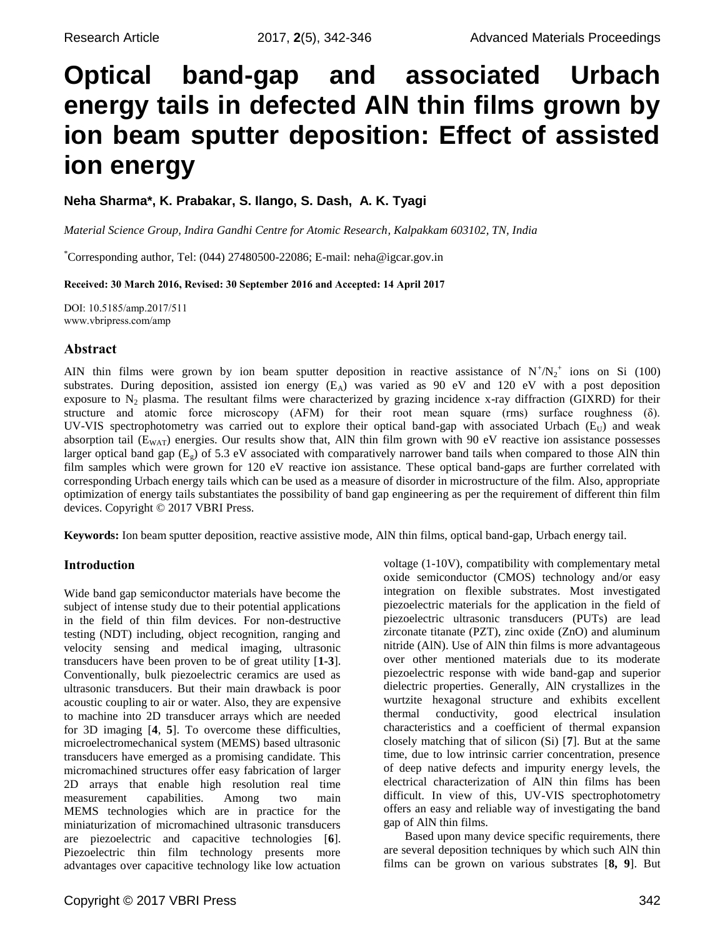# **Optical band-gap and associated Urbach energy tails in defected AlN thin films grown by ion beam sputter deposition: Effect of assisted ion energy**

**Neha Sharma\*, K. Prabakar, S. Ilango, S. Dash, A. K. Tyagi**

*Material Science Group, Indira Gandhi Centre for Atomic Research, Kalpakkam 603102, TN, India*

\*Corresponding author, Tel: (044) 27480500-22086; E-mail: neha@igcar.gov.in

**Received: 30 March 2016, Revised: 30 September 2016 and Accepted: 14 April 2017**

DOI: 10.5185/amp.2017/511 www.vbripress.com/amp

# **Abstract**

AIN thin films were grown by ion beam sputter deposition in reactive assistance of  $N^+ / N_2^+$  ions on Si (100) substrates. During deposition, assisted ion energy  $(E_A)$  was varied as 90 eV and 120 eV with a post deposition exposure to  $N_2$  plasma. The resultant films were characterized by grazing incidence x-ray diffraction (GIXRD) for their structure and atomic force microscopy (AFM) for their root mean square (rms) surface roughness (δ). UV-VIS spectrophotometry was carried out to explore their optical band-gap with associated Urbach ( $E_U$ ) and weak absorption tail  $(E_{WAT})$  energies. Our results show that, AlN thin film grown with 90 eV reactive ion assistance possesses larger optical band gap  $(E_g)$  of 5.3 eV associated with comparatively narrower band tails when compared to those AlN thin film samples which were grown for 120 eV reactive ion assistance. These optical band-gaps are further correlated with corresponding Urbach energy tails which can be used as a measure of disorder in microstructure of the film. Also, appropriate optimization of energy tails substantiates the possibility of band gap engineering as per the requirement of different thin film devices. Copyright © 2017 VBRI Press.

**Keywords:** Ion beam sputter deposition, reactive assistive mode, AlN thin films, optical band-gap, Urbach energy tail.

## **Introduction**

Wide band gap semiconductor materials have become the subject of intense study due to their potential applications in the field of thin film devices. For non-destructive testing (NDT) including, object recognition, ranging and velocity sensing and medical imaging, ultrasonic transducers have been proven to be of great utility [**1-3**]. Conventionally, bulk piezoelectric ceramics are used as ultrasonic transducers. But their main drawback is poor acoustic coupling to air or water. Also, they are expensive to machine into 2D transducer arrays which are needed for 3D imaging [**4**, **5**]. To overcome these difficulties, microelectromechanical system (MEMS) based ultrasonic transducers have emerged as a promising candidate. This micromachined structures offer easy fabrication of larger 2D arrays that enable high resolution real time measurement capabilities. Among two main MEMS technologies which are in practice for the miniaturization of micromachined ultrasonic transducers are piezoelectric and capacitive technologies [**6**]. Piezoelectric thin film technology presents more advantages over capacitive technology like low actuation

oxide semiconductor (CMOS) technology and/or easy integration on flexible substrates. Most investigated piezoelectric materials for the application in the field of piezoelectric ultrasonic transducers (PUTs) are lead zirconate titanate (PZT), zinc oxide (ZnO) and aluminum nitride (AlN). Use of AlN thin films is more advantageous over other mentioned materials due to its moderate piezoelectric response with wide band-gap and superior dielectric properties. Generally, AlN crystallizes in the wurtzite hexagonal structure and exhibits excellent thermal conductivity, good electrical insulation characteristics and a coefficient of thermal expansion closely matching that of silicon (Si) [**7**]. But at the same time, due to low intrinsic carrier concentration, presence of deep native defects and impurity energy levels, the electrical characterization of AlN thin films has been difficult. In view of this, UV-VIS spectrophotometry offers an easy and reliable way of investigating the band gap of AlN thin films.

voltage (1-10V), compatibility with complementary metal

Based upon many device specific requirements, there are several deposition techniques by which such AlN thin films can be grown on various substrates [**8, 9**]. But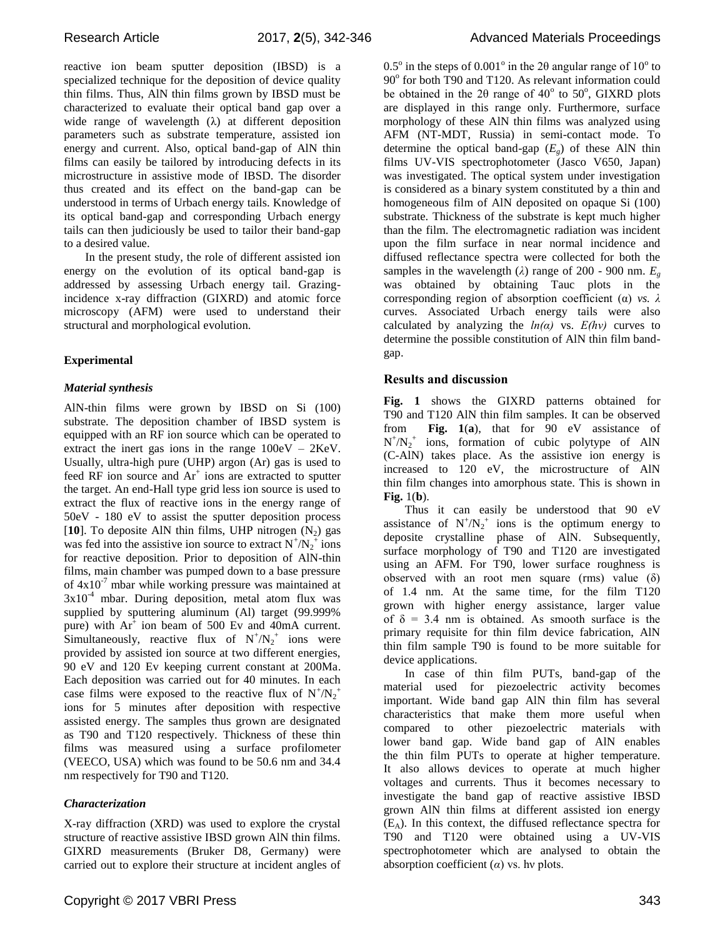reactive ion beam sputter deposition (IBSD) is a specialized technique for the deposition of device quality thin films. Thus, AlN thin films grown by IBSD must be characterized to evaluate their optical band gap over a wide range of wavelength  $(\lambda)$  at different deposition parameters such as substrate temperature, assisted ion energy and current. Also, optical band-gap of AlN thin films can easily be tailored by introducing defects in its microstructure in assistive mode of IBSD. The disorder thus created and its effect on the band-gap can be understood in terms of Urbach energy tails. Knowledge of its optical band-gap and corresponding Urbach energy tails can then judiciously be used to tailor their band-gap to a desired value.

In the present study, the role of different assisted ion energy on the evolution of its optical band-gap is addressed by assessing Urbach energy tail. Grazingincidence x-ray diffraction (GIXRD) and atomic force microscopy (AFM) were used to understand their structural and morphological evolution.

## **Experimental**

### *Material synthesis*

AlN-thin films were grown by IBSD on Si (100) substrate. The deposition chamber of IBSD system is equipped with an RF ion source which can be operated to extract the inert gas ions in the range 100eV – 2KeV. Usually, ultra-high pure (UHP) argon (Ar) gas is used to feed RF ion source and Ar<sup>+</sup> ions are extracted to sputter the target. An end-Hall type grid less ion source is used to extract the flux of reactive ions in the energy range of 50eV - 180 eV to assist the sputter deposition process [10]. To deposite AlN thin films, UHP nitrogen  $(N_2)$  gas was fed into the assistive ion source to extract  $N^{+}/N_2^{+}$  ions for reactive deposition. Prior to deposition of AlN-thin films, main chamber was pumped down to a base pressure of  $4x10^{-7}$  mbar while working pressure was maintained at  $3x10^{-4}$  mbar. During deposition, metal atom flux was supplied by sputtering aluminum (Al) target (99.999% pure) with  $Ar^+$  ion beam of 500 Ev and 40mA current. Simultaneously, reactive flux of  $N^+ / N_2^+$  ions were provided by assisted ion source at two different energies, 90 eV and 120 Ev keeping current constant at 200Ma. Each deposition was carried out for 40 minutes. In each case films were exposed to the reactive flux of  $N^+ / N_2^+$ ions for 5 minutes after deposition with respective assisted energy. The samples thus grown are designated as T90 and T120 respectively. Thickness of these thin films was measured using a surface profilometer (VEECO, USA) which was found to be 50.6 nm and 34.4 nm respectively for T90 and T120.

### *Characterization*

X-ray diffraction (XRD) was used to explore the crystal structure of reactive assistive IBSD grown AlN thin films. GIXRD measurements (Bruker D8, Germany) were carried out to explore their structure at incident angles of

 $0.5^{\circ}$  in the steps of  $0.001^{\circ}$  in the 20 angular range of  $10^{\circ}$  to 90° for both T90 and T120. As relevant information could be obtained in the  $2\theta$  range of  $40^{\circ}$  to  $50^{\circ}$ , GIXRD plots are displayed in this range only. Furthermore, surface morphology of these AlN thin films was analyzed using AFM (NT-MDT, Russia) in semi-contact mode. To determine the optical band-gap  $(E_g)$  of these AlN thin films UV-VIS spectrophotometer (Jasco V650, Japan) was investigated. The optical system under investigation is considered as a binary system constituted by a thin and homogeneous film of AlN deposited on opaque Si (100) substrate. Thickness of the substrate is kept much higher than the film. The electromagnetic radiation was incident upon the film surface in near normal incidence and diffused reflectance spectra were collected for both the samples in the wavelength ( $\lambda$ ) range of 200 - 900 nm.  $E_g$ was obtained by obtaining Tauc plots in the corresponding region of absorption coefficient (α) *vs. λ*  curves. Associated Urbach energy tails were also calculated by analyzing the  $ln(a)$  vs.  $E(hv)$  curves to determine the possible constitution of AlN thin film bandgap.

## **Results and discussion**

**Fig. 1** shows the GIXRD patterns obtained for T90 and T120 AlN thin film samples. It can be observed from **Fig. 1**(**a**), that for 90 eV assistance of  $N^{+}/N_{2}^{+}$  ions, formation of cubic polytype of AlN (C-AlN) takes place. As the assistive ion energy is increased to 120 eV, the microstructure of AlN thin film changes into amorphous state. This is shown in **Fig.** 1(**b**).

Thus it can easily be understood that 90 eV assistance of  $N^{+}/N_{2}^{+}$  ions is the optimum energy to deposite crystalline phase of AlN. Subsequently, surface morphology of T90 and T120 are investigated using an AFM. For T90, lower surface roughness is observed with an root men square (rms) value  $(\delta)$ of 1.4 nm. At the same time, for the film T120 grown with higher energy assistance, larger value of  $\delta$  = 3.4 nm is obtained. As smooth surface is the primary requisite for thin film device fabrication, AlN thin film sample T90 is found to be more suitable for device applications.

In case of thin film PUTs, band-gap of the material used for piezoelectric activity becomes important. Wide band gap AlN thin film has several characteristics that make them more useful when compared to other piezoelectric materials with lower band gap. Wide band gap of AlN enables the thin film PUTs to operate at higher temperature. It also allows devices to operate at much higher voltages and currents. Thus it becomes necessary to investigate the band gap of reactive assistive IBSD grown AlN thin films at different assisted ion energy  $(E_A)$ . In this context, the diffused reflectance spectra for T90 and T120 were obtained using a UV-VIS spectrophotometer which are analysed to obtain the absorption coefficient (*α*) vs. hν plots.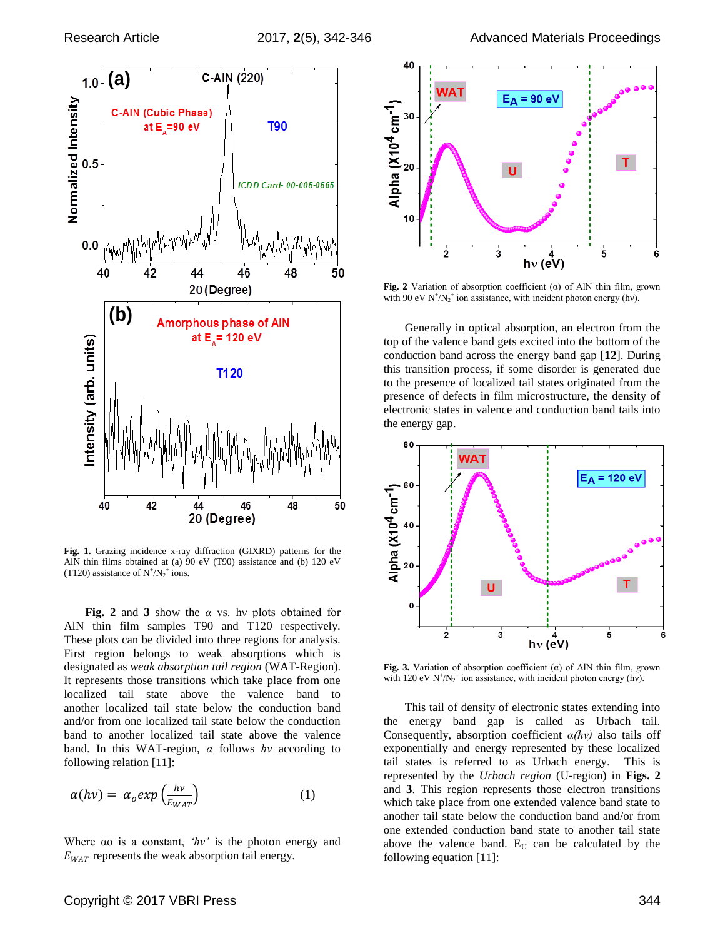

**Fig. 1.** Grazing incidence x-ray diffraction (GIXRD) patterns for the AlN thin films obtained at (a) 90 eV (T90) assistance and (b) 120 eV (T120) assistance of  $N^*/N_2^+$  ions.

**Fig. 2** and **3** show the *α* vs. hν plots obtained for AlN thin film samples T90 and T120 respectively. These plots can be divided into three regions for analysis. First region belongs to weak absorptions which is designated as *weak absorption tail region* (WAT-Region). It represents those transitions which take place from one localized tail state above the valence band to another localized tail state below the conduction band and/or from one localized tail state below the conduction band to another localized tail state above the valence band. In this WAT-region, *α* follows *hν* according to following relation [11]:

$$
\alpha(h\nu) = \alpha_o exp\left(\frac{hv}{E_{WAT}}\right) \tag{1}
$$

Where αo is a constant, *'hν'* is the photon energy and  $E_{WAT}$  represents the weak absorption tail energy.



**Fig.** 2 Variation of absorption coefficient  $(\alpha)$  of AlN thin film, grown with 90 eV  $N^{\dagger}/N_2^{\dagger}$  ion assistance, with incident photon energy (hv).

Generally in optical absorption, an electron from the top of the valence band gets excited into the bottom of the conduction band across the energy band gap [**12**]. During this transition process, if some disorder is generated due to the presence of localized tail states originated from the presence of defects in film microstructure, the density of electronic states in valence and conduction band tails into the energy gap.



**Fig. 3.** Variation of absorption coefficient (α) of AlN thin film, grown with 120 eV  $N^{\dagger}/N_2^{\dagger}$  ion assistance, with incident photon energy (hv).

This tail of density of electronic states extending into the energy band gap is called as Urbach tail. Consequently, absorption coefficient *α(hν)* also tails off exponentially and energy represented by these localized tail states is referred to as Urbach energy. This is represented by the *Urbach region* (U-region) in **Figs. 2** and **3**. This region represents those electron transitions which take place from one extended valence band state to another tail state below the conduction band and/or from one extended conduction band state to another tail state above the valence band.  $E_U$  can be calculated by the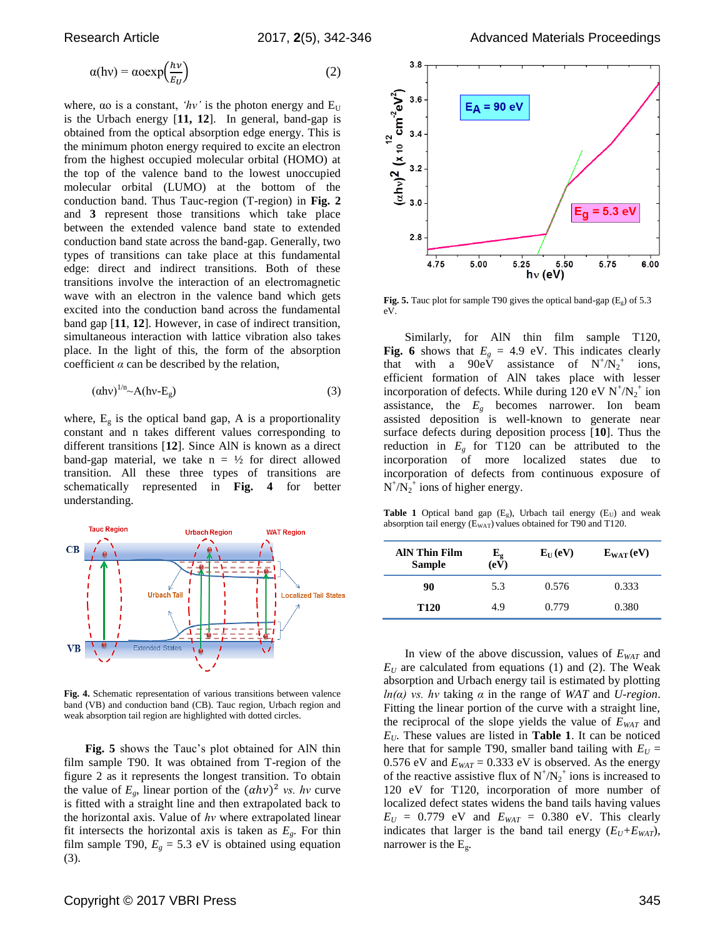$$
\alpha(hv) = \alpha \alpha \exp\left(\frac{hv}{E_U}\right) \tag{2}
$$

where,  $\alpha$  is a constant, *'hv'* is the photon energy and  $E_U$ is the Urbach energy [**11, 12**]. In general, band-gap is obtained from the optical absorption edge energy. This is the minimum photon energy required to excite an electron from the highest occupied molecular orbital (HOMO) at the top of the valence band to the lowest unoccupied molecular orbital (LUMO) at the bottom of the conduction band. Thus Tauc-region (T-region) in **Fig. 2** and **3** represent those transitions which take place between the extended valence band state to extended conduction band state across the band-gap. Generally, two types of transitions can take place at this fundamental edge: direct and indirect transitions. Both of these transitions involve the interaction of an electromagnetic wave with an electron in the valence band which gets excited into the conduction band across the fundamental band gap [**11**, **12**]. However, in case of indirect transition, simultaneous interaction with lattice vibration also takes place. In the light of this, the form of the absorption coefficient *α* can be described by the relation,

$$
(\alpha \text{hv})^{1/n} \sim A(\text{hv} \cdot \text{E}_g) \tag{3}
$$

where,  $E<sub>g</sub>$  is the optical band gap, A is a proportionality constant and n takes different values corresponding to different transitions [**12**]. Since AlN is known as a direct band-gap material, we take  $n = \frac{1}{2}$  for direct allowed transition. All these three types of transitions are schematically represented in **Fig. 4** for better understanding.



**Fig. 4.** Schematic representation of various transitions between valence band (VB) and conduction band (CB). Tauc region, Urbach region and weak absorption tail region are highlighted with dotted circles.

**Fig. 5** shows the Tauc's plot obtained for AlN thin film sample T90. It was obtained from T-region of the figure 2 as it represents the longest transition. To obtain the value of  $E_g$ , linear portion of the  $(\alpha h v)^2$  *vs. hv* curve is fitted with a straight line and then extrapolated back to the horizontal axis. Value of *hν* where extrapolated linear fit intersects the horizontal axis is taken as  $E<sub>g</sub>$ . For thin film sample T90,  $E_g = 5.3$  eV is obtained using equation (3).



**Fig. 5.** Tauc plot for sample T90 gives the optical band-gap  $(E_g)$  of 5.3 eV.

Similarly, for AlN thin film sample T120, **Fig. 6** shows that  $E<sub>g</sub> = 4.9$  eV. This indicates clearly that with a  $90e\dot{V}$  assistance of  $N^{+}/N_{2}^{+}$ ions, efficient formation of AlN takes place with lesser incorporation of defects. While during  $120 \text{ eV} \text{ N}^{\dagger} / \text{N}_2^{\dagger}$  ion assistance, the  $E_g$  becomes narrower. Ion beam assisted deposition is well-known to generate near surface defects during deposition process [**10**]. Thus the reduction in  $E<sub>g</sub>$  for T120 can be attributed to the incorporation of more localized states due to incorporation of defects from continuous exposure of  $N^{\dagger}/N_2^{\dagger}$  ions of higher energy.

**Table 1** Optical band gap  $(E_g)$ , Urbach tail energy  $(E_U)$  and weak absorption tail energy  $(E_{WAT})$  values obtained for T90 and T120.

| <b>AIN Thin Film</b><br><b>Sample</b> | ${\bf E_g}$<br>(eV) | $E_{II}(eV)$ | $E_{\text{WAT}}(eV)$ |
|---------------------------------------|---------------------|--------------|----------------------|
| 90                                    | 5.3                 | 0.576        | 0.333                |
| T <sub>120</sub>                      | 4.9                 | 0.779        | 0.380                |

In view of the above discussion, values of *EWAT* and  $E_U$  are calculated from equations (1) and (2). The Weak absorption and Urbach energy tail is estimated by plotting *ln(α) vs. hν* taking *α* in the range of *WAT* and *U-region*. Fitting the linear portion of the curve with a straight line, the reciprocal of the slope yields the value of *EWAT* and  $E_U$ . These values are listed in **Table 1**. It can be noticed here that for sample T90, smaller band tailing with  $E_U =$ 0.576 eV and  $E_{WAT} = 0.333$  eV is observed. As the energy of the reactive assistive flux of  $N^+ / N_2^+$  ions is increased to 120 eV for T120, incorporation of more number of localized defect states widens the band tails having values  $E_U = 0.779$  eV and  $E_{WAT} = 0.380$  eV. This clearly indicates that larger is the band tail energy  $(E_U + E_{WAT})$ , narrower is the  $E_{\rm g}$ .